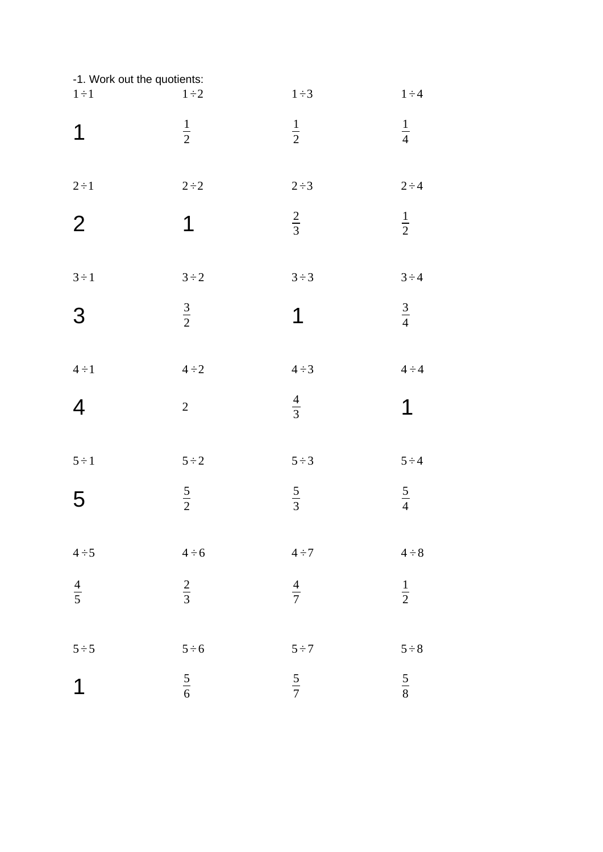| -1. Work out the quotients: |                |               |               |
|-----------------------------|----------------|---------------|---------------|
| $1 \div 1$                  | $1\div 2$      | $1\div 3$     | $1 \div 4$    |
| $\mathbf 1$                 | $\frac{1}{2}$  | $\frac{1}{2}$ | $\frac{1}{4}$ |
| $2\div 1$                   | $2 \div 2$     | $2 \div 3$    | $2 \div 4$    |
| $\overline{2}$              | $\mathbf 1$    | $rac{2}{3}$   | $\frac{1}{2}$ |
| $3 \div 1$                  | $3 \div 2$     | $3 \div 3$    | $3 \div 4$    |
| 3                           | $rac{3}{2}$    | $\mathbf 1$   | $rac{3}{4}$   |
| $4 \div 1$                  | $4 \div 2$     | $4 \div 3$    | $4 \div 4$    |
| $\overline{4}$              | $\overline{2}$ | $\frac{4}{3}$ | 1             |
| $5 \div 1$                  | $5 \div 2$     | $5 \div 3$    | $5 \div 4$    |
| 5                           | $rac{5}{2}$    | $rac{5}{3}$   | $rac{5}{4}$   |
| $4 \div 5$                  | $4 \div 6$     | $4\div 7$     | $4 \div 8$    |
| $\frac{4}{5}$               | $rac{2}{3}$    | $\frac{4}{7}$ | $\frac{1}{2}$ |
| $5 \div 5$                  | $5 \div 6$     | $5 \div 7$    | $5 \div 8$    |
| $\mathbf 1$                 | $\frac{5}{6}$  | $rac{5}{7}$   | $\frac{5}{8}$ |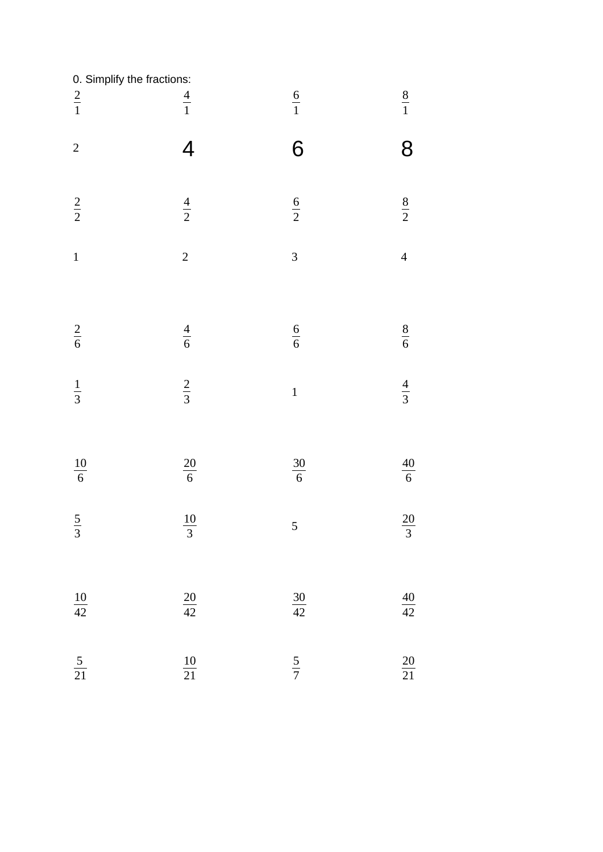| 0. Simplify the fractions:<br>$rac{2}{1}$ | $\frac{4}{1}$            | $\frac{6}{1}$           | $\frac{8}{1}$        |
|-------------------------------------------|--------------------------|-------------------------|----------------------|
|                                           |                          |                         |                      |
| $\overline{c}$                            | 4                        | 6                       | 8                    |
| $rac{2}{2}$                               | $\frac{4}{2}$            | $\frac{6}{2}$           | $\frac{8}{2}$        |
| $\mathbf{1}$                              | $\overline{c}$           | $\overline{\mathbf{3}}$ | $\overline{4}$       |
| $\frac{2}{6}$                             | $\frac{4}{6}$            | $\frac{6}{6}$           | $\frac{8}{6}$        |
| $rac{1}{3}$                               | $rac{2}{3}$              | $\mathbf{1}$            | $\frac{4}{3}$        |
| $\frac{10}{6}$                            | $\frac{20}{6}$           | $\frac{30}{6}$          | $\frac{40}{6}$       |
| 5<br>$\overline{3}$                       | $10\,$<br>$\overline{3}$ | 5                       | 20<br>$\overline{3}$ |
| $\frac{10}{42}$                           | $\frac{20}{42}$          | $\frac{30}{42}$         | $\frac{40}{42}$      |
| $\frac{5}{21}$                            | $\frac{10}{21}$          | $rac{5}{7}$             | $\frac{20}{21}$      |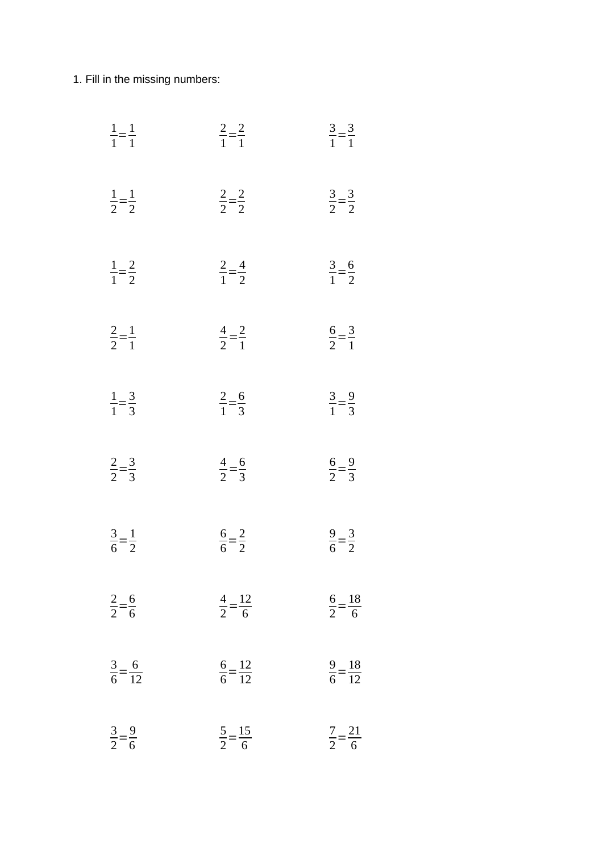1. Fill in the missing numbers:

| $\frac{1}{1} = \frac{1}{1}$  | $\frac{2}{1} = \frac{2}{1}$   | $\frac{3}{1} = \frac{3}{1}$  |
|------------------------------|-------------------------------|------------------------------|
| $\frac{1}{2} = \frac{1}{2}$  | $\frac{2}{2} = \frac{2}{2}$   | $\frac{3}{2} = \frac{3}{2}$  |
| $\frac{1}{1} = \frac{2}{2}$  | $\frac{2}{1} = \frac{4}{2}$   | $\frac{3}{1} = \frac{6}{2}$  |
| $\frac{2}{2} = \frac{1}{1}$  | $\frac{4}{2} = \frac{2}{1}$   | $\frac{6}{2} = \frac{3}{1}$  |
| $\frac{1}{1} = \frac{3}{3}$  | $\frac{2}{1} = \frac{6}{3}$   | $\frac{3}{1} = \frac{9}{3}$  |
| $\frac{2}{2} = \frac{3}{3}$  | $\frac{4}{2} = \frac{6}{3}$   | $\frac{6}{2} = \frac{9}{3}$  |
| $\frac{3}{6} = \frac{1}{2}$  | $\frac{6}{6} = \frac{2}{2}$   | $\frac{9}{6} = \frac{3}{2}$  |
| $\frac{2}{2} = \frac{6}{6}$  | $\frac{4}{2} = \frac{12}{6}$  | $\frac{6}{2} = \frac{18}{6}$ |
| $\frac{3}{6} = \frac{6}{12}$ | $\frac{9}{6} = \frac{18}{12}$ |                              |
| $\frac{3}{2} = \frac{9}{6}$  | $\frac{5}{2} = \frac{15}{6}$  | $\frac{7}{2} = \frac{21}{6}$ |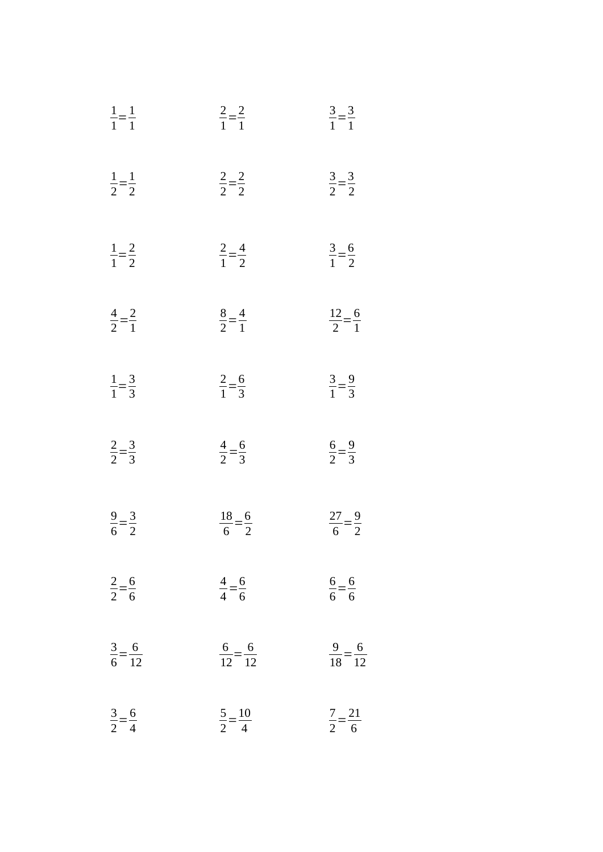| $\frac{1}{1} = \frac{1}{1}$  | $\frac{2}{1} = \frac{2}{1}$   | $\frac{3}{1} = \frac{3}{1}$   |
|------------------------------|-------------------------------|-------------------------------|
| $rac{1}{2} = \frac{1}{2}$    | $\frac{2}{2} = \frac{2}{2}$   | $\frac{3}{2} = \frac{3}{2}$   |
| $\frac{1}{1} = \frac{2}{2}$  | $rac{2}{1} = \frac{4}{2}$     | $\frac{3}{1} = \frac{6}{2}$   |
| $rac{4}{2} = \frac{2}{1}$    | $\frac{8}{2} = \frac{4}{1}$   | $rac{12}{2} = \frac{6}{1}$    |
| $\frac{1}{1} = \frac{3}{3}$  | $\frac{2}{1} = \frac{6}{3}$   | $rac{3}{1} = \frac{9}{3}$     |
| $rac{2}{2} = \frac{3}{3}$    | $\frac{4}{2} = \frac{6}{3}$   | $\frac{6}{2} = \frac{9}{3}$   |
| $\frac{9}{6} = \frac{3}{2}$  | $\frac{18}{6} = \frac{6}{2}$  | $\frac{27}{6} = \frac{9}{2}$  |
| $rac{2}{2} = \frac{6}{6}$    | $rac{4}{4} = \frac{6}{6}$     | $\frac{6}{6} = \frac{6}{6}$   |
| $\frac{3}{6} = \frac{6}{12}$ | $\frac{6}{12} = \frac{6}{12}$ | $\frac{9}{18} = \frac{6}{12}$ |
| $rac{3}{2} = \frac{6}{4}$    | $rac{5}{2} = \frac{10}{4}$    | $\frac{7}{2} = \frac{21}{6}$  |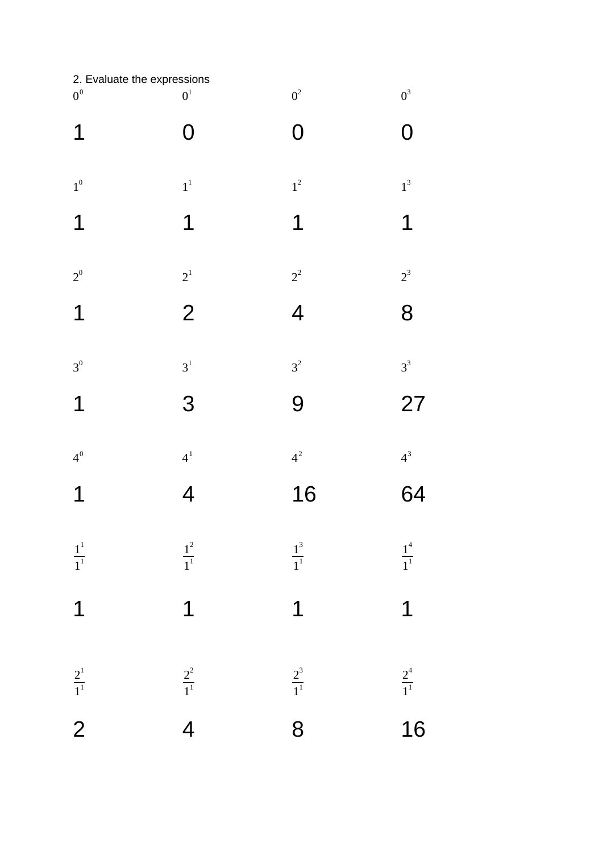| 2. Evaluate the expressions |                    |                   |                         |
|-----------------------------|--------------------|-------------------|-------------------------|
| $0^0$                       | $\boldsymbol{0}^1$ | $0^2\,$           | $0^3\,$                 |
| $\mathbf 1$                 | O                  | O                 | 0                       |
|                             |                    |                   |                         |
| $1^0$                       | $\boldsymbol{1}^1$ | $1^2$             | $\boldsymbol{1}^3$      |
| $\mathbf 1$                 | 1                  | 1                 | $\mathbf 1$             |
| $2^0$                       | $2^1$              | $2^2$             | $2^3$                   |
| $\mathbf 1$                 | $\overline{2}$     | 4                 | 8                       |
|                             |                    |                   |                         |
| $3^0$                       | $\mathfrak{Z}^1$   | $3^2$             | $3^3$                   |
| 1                           | 3                  | 9                 | 27                      |
| $4^0$                       | $\boldsymbol{4}^1$ | $4^2$             | $4^3$                   |
|                             |                    |                   |                         |
| 1                           | $\overline{4}$     | 16                | 64                      |
| $\frac{1}{1}^{1}$           | $\frac{1^2}{1^1}$  | $\frac{1^3}{1^1}$ | $\frac{1^4}{1^1}$       |
|                             |                    |                   |                         |
| $\overline{1}$              | $\overline{1}$     | $\overline{1}$    | $\overline{1}$          |
|                             |                    |                   |                         |
| $\frac{2^1}{1^1}$           |                    | $\frac{2^3}{1^1}$ | $\frac{2^4}{1^1}$<br>16 |
| $\overline{2}$              | $\frac{2^2}{1^1}$  | $\overline{8}$    |                         |
|                             |                    |                   |                         |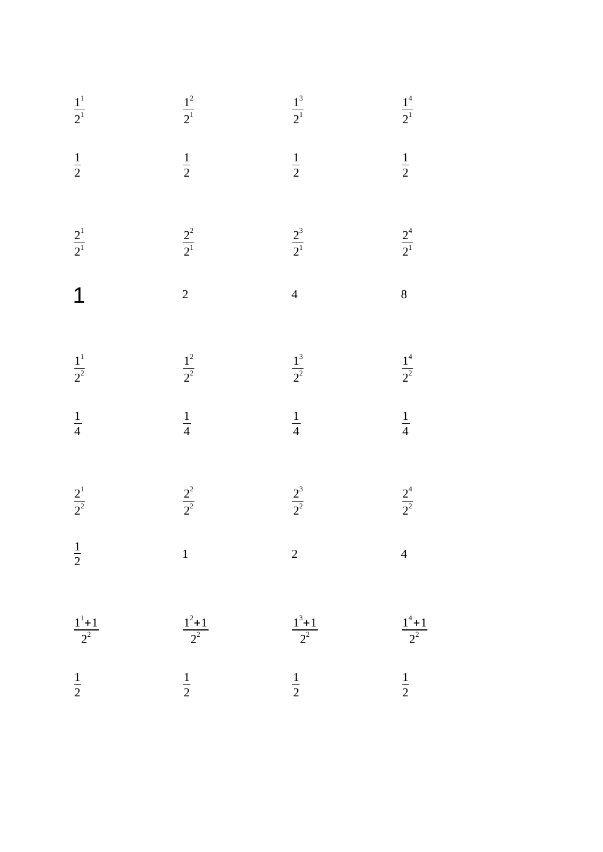| $\frac{1}{2^1}$         | $\frac{1^2}{2^1}$   | $\frac{1^3}{2^1}$   | $\frac{1^4}{2^1}$                  |
|-------------------------|---------------------|---------------------|------------------------------------|
| $rac{1}{2}$             | $\frac{1}{2}$       | $\frac{1}{2}$       | $\frac{1}{2}$                      |
| $\frac{2^1}{2^1}$       | $\frac{2^2}{2^1}$   | $\frac{2^3}{2^1}$   | $\frac{2^4}{2^1}$                  |
| $\overline{1}$          | $\overline{a}$      | $\overline{4}$      | $\overline{8}$                     |
| $\frac{1}{2^2}$         | $\frac{1^2}{2^2}$   | $\frac{1^3}{2^2}$   | $\frac{1^4}{2^2}$<br>$\frac{1}{4}$ |
| $\frac{1}{4}$           | $\frac{1}{4}$       | $\frac{1}{4}$       |                                    |
| $\frac{2^{1}}{2^{2}}$   | $\frac{2^2}{2^2}$   | $\frac{2^3}{2^2}$   | $\frac{2^4}{2^2}$                  |
| $\frac{1}{2}$           | $\mathbf{1}$        | $\overline{c}$      | $\overline{\mathcal{L}}$           |
| $\frac{1^{1}+1}{2^{2}}$ | $\frac{1^2+1}{2^2}$ | $\frac{1^3+1}{2^2}$ | $\frac{1^4+1}{2^2}$                |
| $\frac{1}{2}$           | $\frac{1}{2}$       | $\frac{1}{2}$       | $\frac{1}{2}$                      |